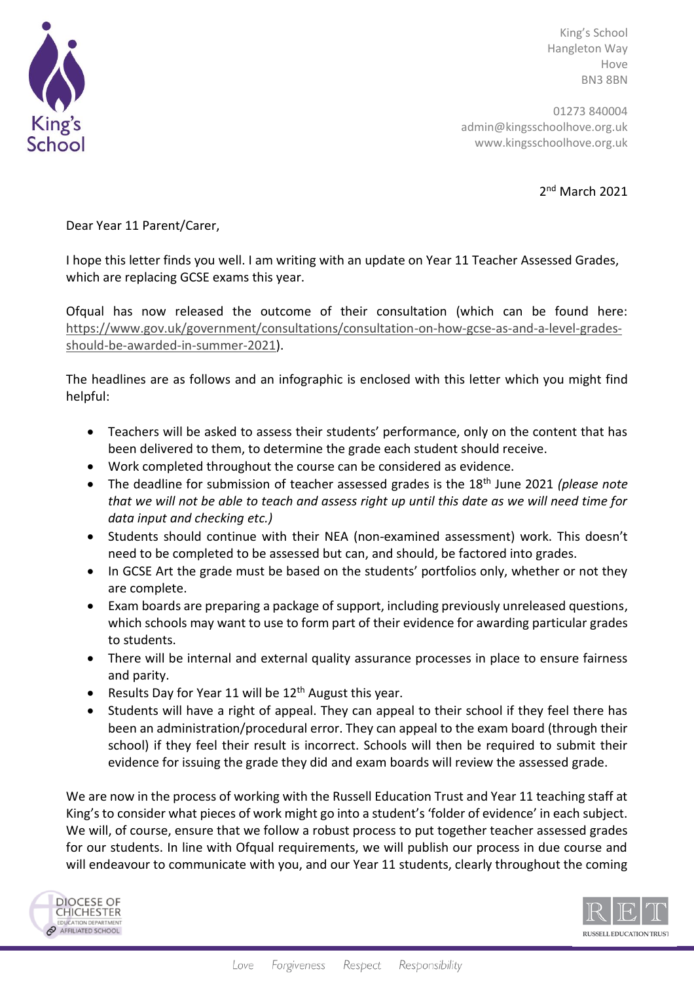

King's School Hangleton Way Hove BN3 8BN

01273 840004 admin@kingsschoolhove.org.uk www.kingsschoolhove.org.uk

2 nd March 2021

Dear Year 11 Parent/Carer,

I hope this letter finds you well. I am writing with an update on Year 11 Teacher Assessed Grades, which are replacing GCSE exams this year.

Ofqual has now released the outcome of their consultation (which can be found here: [https://www.gov.uk/government/consultations/consultation-on-how-gcse-as-and-a-level-grades](https://www.gov.uk/government/consultations/consultation-on-how-gcse-as-and-a-level-grades-should-be-awarded-in-summer-2021)[should-be-awarded-in-summer-2021\)](https://www.gov.uk/government/consultations/consultation-on-how-gcse-as-and-a-level-grades-should-be-awarded-in-summer-2021).

The headlines are as follows and an infographic is enclosed with this letter which you might find helpful:

- Teachers will be asked to assess their students' performance, only on the content that has been delivered to them, to determine the grade each student should receive.
- Work completed throughout the course can be considered as evidence.
- The deadline for submission of teacher assessed grades is the 18th June 2021 *(please note that we will not be able to teach and assess right up until this date as we will need time for data input and checking etc.)*
- Students should continue with their NEA (non-examined assessment) work. This doesn't need to be completed to be assessed but can, and should, be factored into grades.
- In GCSE Art the grade must be based on the students' portfolios only, whether or not they are complete.
- Exam boards are preparing a package of support, including previously unreleased questions, which schools may want to use to form part of their evidence for awarding particular grades to students.
- There will be internal and external quality assurance processes in place to ensure fairness and parity.
- Results Day for Year 11 will be 12<sup>th</sup> August this year.
- Students will have a right of appeal. They can appeal to their school if they feel there has been an administration/procedural error. They can appeal to the exam board (through their school) if they feel their result is incorrect. Schools will then be required to submit their evidence for issuing the grade they did and exam boards will review the assessed grade.

We are now in the process of working with the Russell Education Trust and Year 11 teaching staff at King's to consider what pieces of work might go into a student's 'folder of evidence' in each subject. We will, of course, ensure that we follow a robust process to put together teacher assessed grades for our students. In line with Ofqual requirements, we will publish our process in due course and will endeavour to communicate with you, and our Year 11 students, clearly throughout the coming